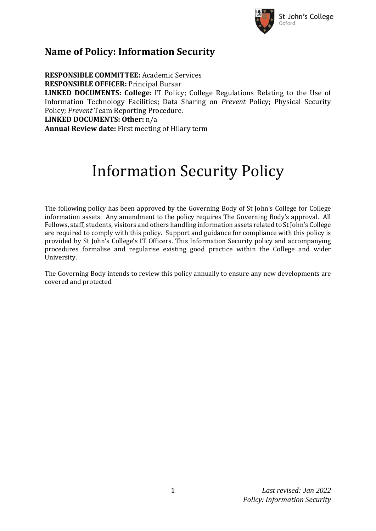

# **Name of Policy: Information Security**

**RESPONSIBLE COMMITTEE:** Academic Services **RESPONSIBLE OFFICER:** Principal Bursar **LINKED DOCUMENTS: College:** IT Policy; College Regulations Relating to the Use of Information Technology Facilities; Data Sharing on *Prevent* Policy; Physical Security Policy; *Prevent* Team Reporting Procedure. **LINKED DOCUMENTS: Other:** n/a **Annual Review date:** First meeting of Hilary term

# Information Security Policy

The following policy has been approved by the Governing Body of St John's College for College information assets. Any amendment to the policy requires The Governing Body's approval. All Fellows, staff, students, visitors and others handling information assets related to St John's College are required to comply with this policy. Support and guidance for compliance with this policy is provided by St John's College's IT Officers. This Information Security policy and accompanying procedures formalise and regularise existing good practice within the College and wider University.

The Governing Body intends to review this policy annually to ensure any new developments are covered and protected.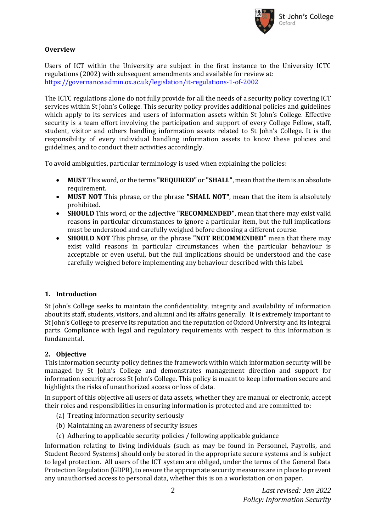

# **Overview**

Users of ICT within the University are subject in the first instance to the University ICTC regulations (2002) with subsequent amendments and available for review at: <https://governance.admin.ox.ac.uk/legislation/it-regulations-1-of-2002>

The ICTC regulations alone do not fully provide for all the needs of a security policy covering ICT services within St John's College. This security policy provides additional policies and guidelines which apply to its services and users of information assets within St John's College. Effective security is a team effort involving the participation and support of every College Fellow, staff, student, visitor and others handling information assets related to St John's College. It is the responsibility of every individual handling information assets to know these policies and guidelines, and to conduct their activities accordingly.

To avoid ambiguities, particular terminology is used when explaining the policies:

- **MUST** This word, or the terms **"REQUIRED"** or **"SHALL"**, mean that the item is an absolute requirement.
- **MUST NOT** This phrase, or the phrase **"SHALL NOT"**, mean that the item is absolutely prohibited.
- **SHOULD** This word, or the adjective **"RECOMMENDED"**, mean that there may exist valid reasons in particular circumstances to ignore a particular item, but the full implications must be understood and carefully weighed before choosing a different course.
- **SHOULD NOT** This phrase, or the phrase **"NOT RECOMMENDED"** mean that there may exist valid reasons in particular circumstances when the particular behaviour is acceptable or even useful, but the full implications should be understood and the case carefully weighed before implementing any behaviour described with this label.

# **1. Introduction**

St John's College seeks to maintain the confidentiality, integrity and availability of information about its staff, students, visitors, and alumni and its affairs generally. It is extremely important to St John's College to preserve its reputation and the reputation of Oxford University and its integral parts. Compliance with legal and regulatory requirements with respect to this Information is fundamental.

# **2. Objective**

This information security policy defines the framework within which information security will be managed by St John's College and demonstrates management direction and support for information security across St John's College. This policy is meant to keep information secure and highlights the risks of unauthorized access or loss of data.

In support of this objective all users of data assets, whether they are manual or electronic, accept their roles and responsibilities in ensuring information is protected and are committed to:

- (a) Treating information security seriously
- (b) Maintaining an awareness of security issues
- (c) Adhering to applicable security policies / following applicable guidance

Information relating to living individuals (such as may be found in Personnel, Payrolls, and Student Record Systems) should only be stored in the appropriate secure systems and is subject to legal protection. All users of the ICT system are obliged, under the terms of the General Data Protection Regulation (GDPR), to ensure the appropriate security measures are in place to prevent any unauthorised access to personal data, whether this is on a workstation or on paper.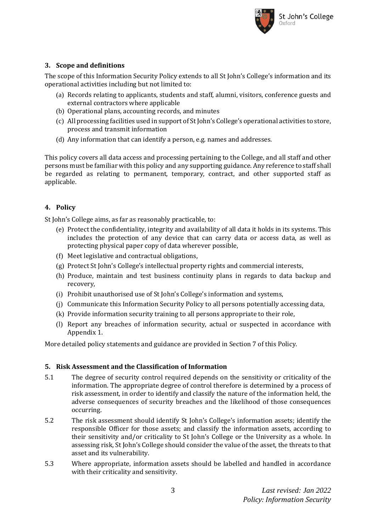

# **3. Scope and definitions**

The scope of this Information Security Policy extends to all St John's College's information and its operational activities including but not limited to:

- (a) Records relating to applicants, students and staff, alumni, visitors, conference guests and external contractors where applicable
- (b) Operational plans, accounting records, and minutes
- (c) All processing facilities used in support of St John's College's operational activities to store, process and transmit information
- (d) Any information that can identify a person, e.g. names and addresses.

This policy covers all data access and processing pertaining to the College, and all staff and other persons must be familiar with this policy and any supporting guidance. Any reference to staff shall be regarded as relating to permanent, temporary, contract, and other supported staff as applicable.

# **4. Policy**

St John's College aims, as far as reasonably practicable, to:

- (e) Protect the confidentiality, integrity and availability of all data it holds in its systems. This includes the protection of any device that can carry data or access data, as well as protecting physical paper copy of data wherever possible,
- (f) Meet legislative and contractual obligations,
- (g) Protect St John's College's intellectual property rights and commercial interests,
- (h) Produce, maintain and test business continuity plans in regards to data backup and recovery,
- (i) Prohibit unauthorised use of St John's College's information and systems,
- (j) Communicate this Information Security Policy to all persons potentially accessing data,
- (k) Provide information security training to all persons appropriate to their role,
- (l) Report any breaches of information security, actual or suspected in accordance with Appendix 1.

More detailed policy statements and guidance are provided in Section 7 of this Policy.

#### **5. Risk Assessment and the Classification of Information**

- 5.1 The degree of security control required depends on the sensitivity or criticality of the information. The appropriate degree of control therefore is determined by a process of risk assessment, in order to identify and classify the nature of the information held, the adverse consequences of security breaches and the likelihood of those consequences occurring.
- 5.2 The risk assessment should identify St John's College's information assets; identify the responsible Officer for those assets; and classify the information assets, according to their sensitivity and/or criticality to St John's College or the University as a whole. In assessing risk, St John's College should consider the value of the asset, the threats to that asset and its vulnerability.
- 5.3 Where appropriate, information assets should be labelled and handled in accordance with their criticality and sensitivity.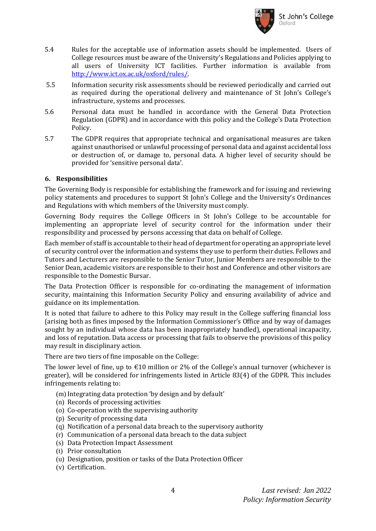

- 5.4 Rules for the acceptable use of information assets should be implemented. Users of College resources must be aware of the University's Regulations and Policies applying to all users of University ICT facilities. Further information is available from [http://www.ict.ox.ac.uk/oxford/rules/.](http://www.ict.ox.ac.uk/oxford/rules/)
- 5.5 Information security risk assessments should be reviewed periodically and carried out as required during the operational delivery and maintenance of St John's College's infrastructure, systems and processes.
- 5.6 Personal data must be handled in accordance with the General Data Protection Regulation (GDPR) and in accordance with this policy and the College's Data Protection Policy.
- 5.7 The GDPR requires that appropriate technical and organisational measures are taken against unauthorised or unlawful processing of personal data and against accidental loss or destruction of, or damage to, personal data. A higher level of security should be provided for 'sensitive personal data'.

# **6. Responsibilities**

The Governing Body is responsible for establishing the framework and for issuing and reviewing policy statements and procedures to support St John's College and the University's Ordinances and Regulations with which members of the University must comply.

Governing Body requires the College Officers in St John's College to be accountable for implementing an appropriate level of security control for the information under their responsibility and processed by persons accessing that data on behalf of College.

Each member of staff is accountable to their head of department for operating an appropriate level of security control over the information and systems they use to perform their duties. Fellows and Tutors and Lecturers are responsible to the Senior Tutor, Junior Members are responsible to the Senior Dean, academic visitors are responsible to their host and Conference and other visitors are responsible to the Domestic Bursar.

The Data Protection Officer is responsible for co-ordinating the management of information security, maintaining this Information Security Policy and ensuring availability of advice and guidance on its implementation.

It is noted that failure to adhere to this Policy may result in the College suffering financial loss (arising both as fines imposed by the Information Commissioner's Office and by way of damages sought by an individual whose data has been inappropriately handled), operational incapacity, and loss of reputation. Data access or processing that fails to observe the provisions of this policy may result in disciplinary action.

There are two tiers of fine imposable on the College:

The lower level of fine, up to  $\epsilon$ 10 million or 2% of the College's annual turnover (whichever is greater), will be considered for infringements listed in Article 83(4) of the GDPR. This includes infringements relating to:

- (m) Integrating data protection 'by design and by default'
- (n) Records of processing activities
- (o) Co-operation with the supervising authority
- (p) Security of processing data
- (q) Notification of a personal data breach to the supervisory authority
- (r) Communication of a personal data breach to the data subject
- (s) Data Protection Impact Assessment
- (t) Prior consultation
- (u) Designation, position or tasks of the Data Protection Officer
- (v) Certification.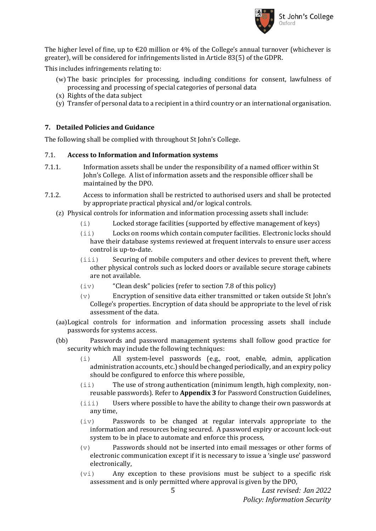

The higher level of fine, up to  $\epsilon$ 20 million or 4% of the College's annual turnover (whichever is greater), will be considered for infringements listed in Article 83(5) of the GDPR.

This includes infringements relating to:

- (w) The basic principles for processing, including conditions for consent, lawfulness of processing and processing of special categories of personal data
- (x) Rights of the data subject
- (y) Transfer of personal data to a recipient in a third country or an international organisation.

# **7. Detailed Policies and Guidance**

The following shall be complied with throughout St John's College.

# 7.1. **Access to Information and Information systems**

- 7.1.1. Information assets shall be under the responsibility of a named officer within St John's College. A list of information assets and the responsible officer shall be maintained by the DPO.
- 7.1.2. Access to information shall be restricted to authorised users and shall be protected by appropriate practical physical and/or logical controls.
	- (z) Physical controls for information and information processing assets shall include:
		- (i) Locked storage facilities (supported by effective management of keys)
		- (ii) Locks on rooms which contain computer facilities. Electronic locks should have their database systems reviewed at frequent intervals to ensure user access control is up-to-date.
		- (iii) Securing of mobile computers and other devices to prevent theft, where other physical controls such as locked doors or available secure storage cabinets are not available.
		- (iv) "Clean desk" policies (refer to section 7.8 of this policy)
		- (v) Encryption of sensitive data either transmitted or taken outside St John's College's properties. Encryption of data should be appropriate to the level of risk assessment of the data.
	- (aa)Logical controls for information and information processing assets shall include passwords for systems access.
	- (bb) Passwords and password management systems shall follow good practice for security which may include the following techniques:
		- (i) All system-level passwords (e.g., root, enable, admin, application administration accounts, etc.) should be changed periodically, and an expiry policy should be configured to enforce this where possible,
		- (ii) The use of strong authentication (minimum length, high complexity, nonreusable passwords). Refer to **Appendix 3** for Password Construction Guidelines,
		- (iii) Users where possible to have the ability to change their own passwords at any time,
		- (iv) Passwords to be changed at regular intervals appropriate to the information and resources being secured. A password expiry or account lock-out system to be in place to automate and enforce this process,
		- (v) Passwords should not be inserted into email messages or other forms of electronic communication except if it is necessary to issue a 'single use' password electronically,
		- (vi) Any exception to these provisions must be subject to a specific risk assessment and is only permitted where approval is given by the DPO,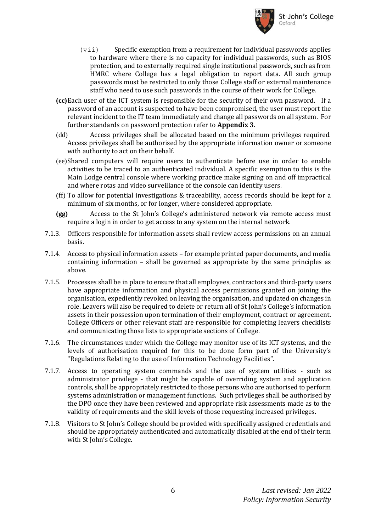

- $(vii)$  Specific exemption from a requirement for individual passwords applies to hardware where there is no capacity for individual passwords, such as BIOS protection, and to externally required single institutional passwords, such as from HMRC where College has a legal obligation to report data. All such group passwords must be restricted to only those College staff or external maintenance staff who need to use such passwords in the course of their work for College.
- **(cc)**Each user of the ICT system is responsible for the security of their own password. If a password of an account is suspected to have been compromised, the user must report the relevant incident to the IT team immediately and change all passwords on all system. For further standards on password protection refer to **Appendix 3**.
- (dd) Access privileges shall be allocated based on the minimum privileges required. Access privileges shall be authorised by the appropriate information owner or someone with authority to act on their behalf.
- (ee)Shared computers will require users to authenticate before use in order to enable activities to be traced to an authenticated individual. A specific exemption to this is the Main Lodge central console where working practice make signing on and off impractical and where rotas and video surveillance of the console can identify users.
- (ff) To allow for potential investigations & traceability, access records should be kept for a minimum of six months, or for longer, where considered appropriate.
- **(gg)** Access to the St John's College's administered network via remote access must require a login in order to get access to any system on the internal network.
- 7.1.3. Officers responsible for information assets shall review access permissions on an annual basis.
- 7.1.4. Access to physical information assets for example printed paper documents, and media containing information – shall be governed as appropriate by the same principles as above.
- 7.1.5. Processes shall be in place to ensure that all employees, contractors and third-party users have appropriate information and physical access permissions granted on joining the organisation, expediently revoked on leaving the organisation, and updated on changes in role. Leavers will also be required to delete or return all of St John's College's information assets in their possession upon termination of their employment, contract or agreement. College Officers or other relevant staff are responsible for completing leavers checklists and communicating those lists to appropriate sections of College.
- 7.1.6. The circumstances under which the College may monitor use of its ICT systems, and the levels of authorisation required for this to be done form part of the University's "Regulations Relating to the use of Information Technology Facilities".
- 7.1.7. Access to operating system commands and the use of system utilities such as administrator privilege - that might be capable of overriding system and application controls, shall be appropriately restricted to those persons who are authorised to perform systems administration or management functions. Such privileges shall be authorised by the DPO once they have been reviewed and appropriate risk assessments made as to the validity of requirements and the skill levels of those requesting increased privileges.
- 7.1.8. Visitors to St John's College should be provided with specifically assigned credentials and should be appropriately authenticated and automatically disabled at the end of their term with St John's College.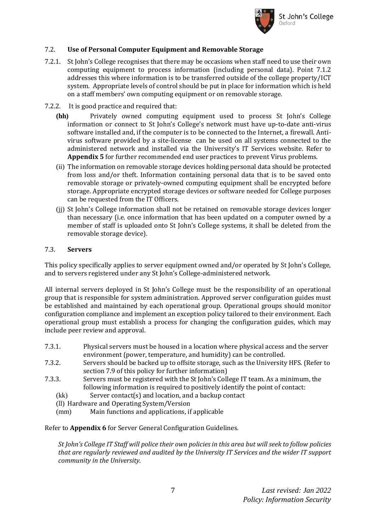

# 7.2. **Use of Personal Computer Equipment and Removable Storage**

- 7.2.1. St John's College recognises that there may be occasions when staff need to use their own computing equipment to process information (including personal data). Point 7.1.2 addresses this where information is to be transferred outside of the college property/ICT system. Appropriate levels of control should be put in place for information which is held on a staff members' own computing equipment or on removable storage.
- 7.2.2. It is good practice and required that:
	- **(hh)** Privately owned computing equipment used to process St John's College information or connect to St John's College's network must have up-to-date anti-virus software installed and, if the computer is to be connected to the Internet, a firewall. Antivirus software provided by a site-license can be used on all systems connected to the administered network and installed via the University's IT Services website. Refer to **Appendix 5** for further recommended end user practices to prevent Virus problems.
	- (ii) The information on removable storage devices holding personal data should be protected from loss and/or theft. Information containing personal data that is to be saved onto removable storage or privately-owned computing equipment shall be encrypted before storage. Appropriate encrypted storage devices or software needed for College purposes can be requested from the IT Officers.
	- (jj) St John's College information shall not be retained on removable storage devices longer than necessary (i.e. once information that has been updated on a computer owned by a member of staff is uploaded onto St John's College systems, it shall be deleted from the removable storage device).

#### 7.3. **Servers**

This policy specifically applies to server equipment owned and/or operated by St John's College, and to servers registered under any St John's College-administered network.

All internal servers deployed in St John's College must be the responsibility of an operational group that is responsible for system administration. Approved server configuration guides must be established and maintained by each operational group. Operational groups should monitor configuration compliance and implement an exception policy tailored to their environment. Each operational group must establish a process for changing the configuration guides, which may include peer review and approval.

- 7.3.1. Physical servers must be housed in a location where physical access and the server environment (power, temperature, and humidity) can be controlled.
- 7.3.2. Servers should be backed up to offsite storage, such as the University HFS. (Refer to section 7.9 of this policy for further information)
- 7.3.3. Servers must be registered with the St John's College IT team. As a minimum, the following information is required to positively identify the point of contact:
	- (kk) Server contact(s) and location, and a backup contact
	- (ll) Hardware and Operating System/Version
	- (mm) Main functions and applications, if applicable

Refer to **Appendix 6** for Server General Configuration Guidelines.

*St John's College IT Staff will police their own policies in this area but will seek to follow policies that are regularly reviewed and audited by the University IT Services and the wider IT support community in the University.*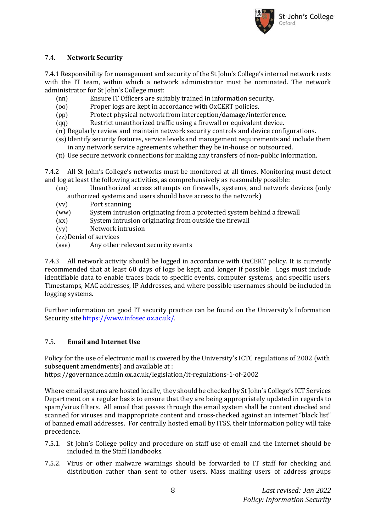

# 7.4. **Network Security**

7.4.1 Responsibility for management and security of the St John's College's internal network rests with the IT team, within which a network administrator must be nominated. The network administrator for St John's College must:

- (nn) Ensure IT Officers are suitably trained in information security.
- (oo) Proper logs are kept in accordance with OxCERT policies.
- (pp) Protect physical network from interception/damage/interference.
- (qq) Restrict unauthorized traffic using a firewall or equivalent device.
- (rr) Regularly review and maintain network security controls and device configurations.
- (ss) Identify security features, service levels and management requirements and include them in any network service agreements whether they be in-house or outsourced.
- (tt) Use secure network connections for making any transfers of non-public information.

7.4.2 All St John's College's networks must be monitored at all times. Monitoring must detect and log at least the following activities, as comprehensively as reasonably possible:

- (uu) Unauthorized access attempts on firewalls, systems, and network devices (only authorized systems and users should have access to the network)
- (vv) Port scanning
- (ww) System intrusion originating from a protected system behind a firewall
- (xx) System intrusion originating from outside the firewall
- (yy) Network intrusion
- (zz)Denial of services
- (aaa) Any other relevant security events

7.4.3 All network activity should be logged in accordance with OxCERT policy. It is currently recommended that at least 60 days of logs be kept, and longer if possible. Logs must include identifiable data to enable traces back to specific events, computer systems, and specific users. Timestamps, MAC addresses, IP Addresses, and where possible usernames should be included in logging systems.

Further information on good IT security practice can be found on the University's Information Security site [https://www.infosec.ox.ac.uk/.](https://www.infosec.ox.ac.uk/)

# 7.5. **Email and Internet Use**

Policy for the use of electronic mail is covered by the University's ICTC regulations of 2002 (with subsequent amendments) and available at :

https://governance.admin.ox.ac.uk/legislation/it-regulations-1-of-2002

Where email systems are hosted locally, they should be checked by St John's College's ICT Services Department on a regular basis to ensure that they are being appropriately updated in regards to spam/virus filters. All email that passes through the email system shall be content checked and scanned for viruses and inappropriate content and cross-checked against an internet "black list" of banned email addresses. For centrally hosted email by ITSS, their information policy will take precedence.

- 7.5.1. St John's College policy and procedure on staff use of email and the Internet should be included in the Staff Handbooks.
- 7.5.2. Virus or other malware warnings should be forwarded to IT staff for checking and distribution rather than sent to other users. Mass mailing users of address groups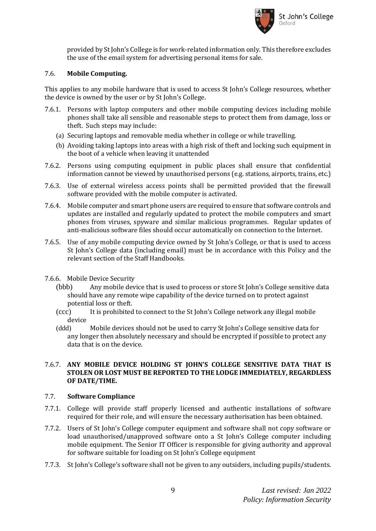

provided by St John's College is for work-related information only. This therefore excludes the use of the email system for advertising personal items for sale.

#### 7.6. **Mobile Computing.**

This applies to any mobile hardware that is used to access St John's College resources, whether the device is owned by the user or by St John's College.

- 7.6.1. Persons with laptop computers and other mobile computing devices including mobile phones shall take all sensible and reasonable steps to protect them from damage, loss or theft. Such steps may include:
	- (a) Securing laptops and removable media whether in college or while travelling.
	- (b) Avoiding taking laptops into areas with a high risk of theft and locking such equipment in the boot of a vehicle when leaving it unattended
- 7.6.2. Persons using computing equipment in public places shall ensure that confidential information cannot be viewed by unauthorised persons (e.g. stations, airports, trains, etc.)
- 7.6.3. Use of external wireless access points shall be permitted provided that the firewall software provided with the mobile computer is activated.
- 7.6.4. Mobile computer and smart phone users are required to ensure that software controls and updates are installed and regularly updated to protect the mobile computers and smart phones from viruses, spyware and similar malicious programmes. Regular updates of anti-malicious software files should occur automatically on connection to the Internet.
- 7.6.5. Use of any mobile computing device owned by St John's College, or that is used to access St John's College data (including email) must be in accordance with this Policy and the relevant section of the Staff Handbooks.
- 7.6.6. Mobile Device Security
	- (bbb) Any mobile device that is used to process or store St John's College sensitive data should have any remote wipe capability of the device turned on to protect against potential loss or theft.
	- (ccc) It is prohibited to connect to the St John's College network any illegal mobile device
	- (ddd) Mobile devices should not be used to carry St John's College sensitive data for any longer then absolutely necessary and should be encrypted if possible to protect any data that is on the device.

#### 7.6.7. **ANY MOBILE DEVICE HOLDING ST JOHN'S COLLEGE SENSITIVE DATA THAT IS STOLEN OR LOST MUST BE REPORTED TO THE LODGE IMMEDIATELY, REGARDLESS OF DATE/TIME.**

# 7.7. **Software Compliance**

- 7.7.1. College will provide staff properly licensed and authentic installations of software required for their role, and will ensure the necessary authorisation has been obtained.
- 7.7.2. Users of St John's College computer equipment and software shall not copy software or load unauthorised/unapproved software onto a St John's College computer including mobile equipment. The Senior IT Officer is responsible for giving authority and approval for software suitable for loading on St John's College equipment
- 7.7.3. St John's College's software shall not be given to any outsiders, including pupils/students.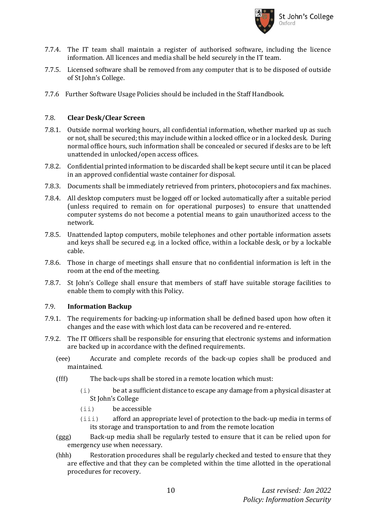

- 7.7.4. The IT team shall maintain a register of authorised software, including the licence information. All licences and media shall be held securely in the IT team.
- 7.7.5. Licensed software shall be removed from any computer that is to be disposed of outside of St John's College.
- 7.7.6 Further Software Usage Policies should be included in the Staff Handbook.

#### 7.8. **Clear Desk/Clear Screen**

- 7.8.1. Outside normal working hours, all confidential information, whether marked up as such or not, shall be secured; this may include within a locked office or in a locked desk. During normal office hours, such information shall be concealed or secured if desks are to be left unattended in unlocked/open access offices.
- 7.8.2. Confidential printed information to be discarded shall be kept secure until it can be placed in an approved confidential waste container for disposal.
- 7.8.3. Documents shall be immediately retrieved from printers, photocopiers and fax machines.
- 7.8.4. All desktop computers must be logged off or locked automatically after a suitable period (unless required to remain on for operational purposes) to ensure that unattended computer systems do not become a potential means to gain unauthorized access to the network.
- 7.8.5. Unattended laptop computers, mobile telephones and other portable information assets and keys shall be secured e.g. in a locked office, within a lockable desk, or by a lockable cable.
- 7.8.6. Those in charge of meetings shall ensure that no confidential information is left in the room at the end of the meeting.
- 7.8.7. St John's College shall ensure that members of staff have suitable storage facilities to enable them to comply with this Policy.

#### 7.9. **Information Backup**

- 7.9.1. The requirements for backing-up information shall be defined based upon how often it changes and the ease with which lost data can be recovered and re-entered.
- 7.9.2. The IT Officers shall be responsible for ensuring that electronic systems and information are backed up in accordance with the defined requirements.
	- (eee) Accurate and complete records of the back-up copies shall be produced and maintained.
	- (fff) The back-ups shall be stored in a remote location which must:
		- (i) be at a sufficient distance to escape any damage from a physical disaster at St John's College
		- (ii) be accessible
		- (iii) afford an appropriate level of protection to the back-up media in terms of its storage and transportation to and from the remote location
	- (ggg) Back-up media shall be regularly tested to ensure that it can be relied upon for emergency use when necessary.
	- (hhh) Restoration procedures shall be regularly checked and tested to ensure that they are effective and that they can be completed within the time allotted in the operational procedures for recovery.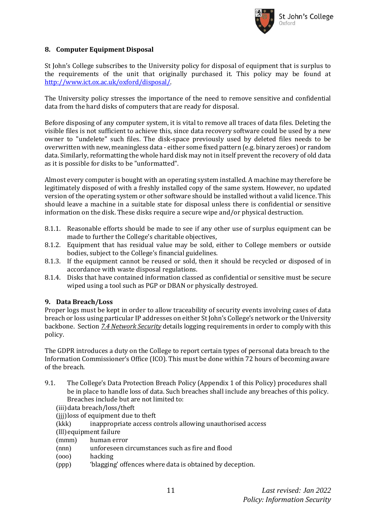

# **8. Computer Equipment Disposal**

St John's College subscribes to the University policy for disposal of equipment that is surplus to the requirements of the unit that originally purchased it. This policy may be found at [http://www.ict.ox.ac.uk/oxford/disposal/.](http://www.ict.ox.ac.uk/oxford/disposal/)

The University policy stresses the importance of the need to remove sensitive and confidential data from the hard disks of computers that are ready for disposal.

Before disposing of any computer system, it is vital to remove all traces of data files. Deleting the visible files is not sufficient to achieve this, since data recovery software could be used by a new owner to "undelete" such files. The disk-space previously used by deleted files needs to be overwritten with new, meaningless data - either some fixed pattern (e.g. binary zeroes) or random data. Similarly, reformatting the whole hard disk may not in itself prevent the recovery of old data as it is possible for disks to be "unformatted".

Almost every computer is bought with an operating system installed. A machine may therefore be legitimately disposed of with a freshly installed copy of the same system. However, no updated version of the operating system or other software should be installed without a valid licence. This should leave a machine in a suitable state for disposal unless there is confidential or sensitive information on the disk. These disks require a secure wipe and/or physical destruction.

- 8.1.1. Reasonable efforts should be made to see if any other use of surplus equipment can be made to further the College's charitable objectives,
- 8.1.2. Equipment that has residual value may be sold, either to College members or outside bodies, subject to the College's financial guidelines.
- 8.1.3. If the equipment cannot be reused or sold, then it should be recycled or disposed of in accordance with waste disposal regulations.
- 8.1.4. Disks that have contained information classed as confidential or sensitive must be secure wiped using a tool such as PGP or DBAN or physically destroyed.

# **9. Data Breach/Loss**

Proper logs must be kept in order to allow traceability of security events involving cases of data breach or loss using particular IP addresses on either St John's College's network or the University backbone. Section *7.4 Network Security* details logging requirements in order to comply with this policy.

The GDPR introduces a duty on the College to report certain types of personal data breach to the Information Commissioner's Office (ICO). This must be done within 72 hours of becoming aware of the breach.

- 9.1. The College's Data Protection Breach Policy (Appendix 1 of this Policy) procedures shall be in place to handle loss of data. Such breaches shall include any breaches of this policy. Breaches include but are not limited to:
	- (iii)data breach/loss/theft
	- (iii) loss of equipment due to theft
	- (kkk) inappropriate access controls allowing unauthorised access
	- (lll) equipment failure
	- (mmm) human error
	- (nnn) unforeseen circumstances such as fire and flood
	- (ooo) hacking
	- (ppp) 'blagging' offences where data is obtained by deception.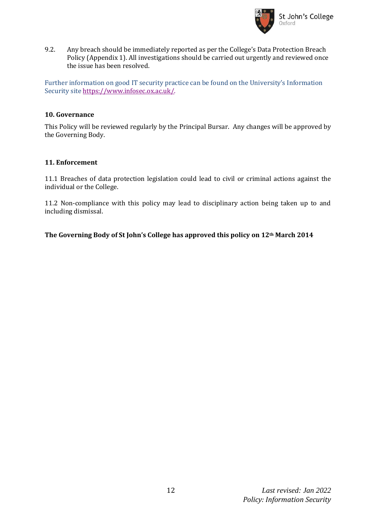

9.2. Any breach should be immediately reported as per the College's Data Protection Breach Policy (Appendix 1). All investigations should be carried out urgently and reviewed once the issue has been resolved.

Further information on good IT security practice can be found on the University's Information Security site [https://www.infosec.ox.ac.uk/.](https://www.infosec.ox.ac.uk/)

#### **10. Governance**

This Policy will be reviewed regularly by the Principal Bursar. Any changes will be approved by the Governing Body.

#### **11. Enforcement**

11.1 Breaches of data protection legislation could lead to civil or criminal actions against the individual or the College.

11.2 Non-compliance with this policy may lead to disciplinary action being taken up to and including dismissal.

**The Governing Body of St John's College has approved this policy on 12th March 2014**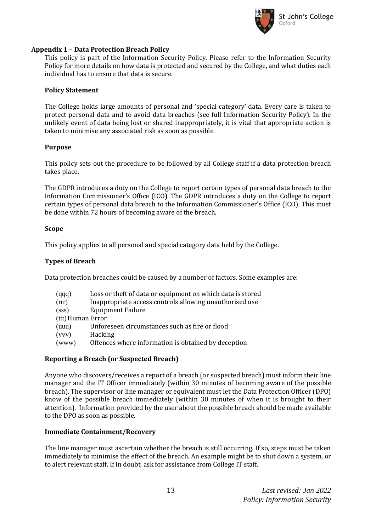

#### **Appendix 1 – Data Protection Breach Policy**

This policy is part of the Information Security Policy. Please refer to the Information Security Policy for more details on how data is protected and secured by the College, and what duties each individual has to ensure that data is secure.

#### **Policy Statement**

The College holds large amounts of personal and 'special category' data. Every care is taken to protect personal data and to avoid data breaches (see full Information Security Policy). In the unlikely event of data being lost or shared inappropriately, it is vital that appropriate action is taken to minimise any associated risk as soon as possible.

#### **Purpose**

This policy sets out the procedure to be followed by all College staff if a data protection breach takes place.

The GDPR introduces a duty on the College to report certain types of personal data breach to the Information Commissioner's Office (ICO). The GDPR introduces a duty on the College to report certain types of personal data breach to the Information Commissioner's Office (ICO). This must be done within 72 hours of becoming aware of the breach.

#### **Scope**

This policy applies to all personal and special category data held by the College.

# **Types of Breach**

Data protection breaches could be caused by a number of factors. Some examples are:

| (qqq)             | Loss or theft of data or equipment on which data is stored |  |  |  |
|-------------------|------------------------------------------------------------|--|--|--|
| (rrr)             | Inappropriate access controls allowing unauthorised use    |  |  |  |
| (sss)             | <b>Equipment Failure</b>                                   |  |  |  |
| (ttt) Human Error |                                                            |  |  |  |
| (uuu)             | Unforeseen circumstances such as fire or flood             |  |  |  |
| (vvv)             | Hacking                                                    |  |  |  |
| (www)             | Offences where information is obtained by deception        |  |  |  |

# **Reporting a Breach (or Suspected Breach)**

Anyone who discovers/receives a report of a breach (or suspected breach) must inform their line manager and the IT Officer immediately (within 30 minutes of becoming aware of the possible breach). The supervisor or line manager or equivalent must let the Data Protection Officer (DPO) know of the possible breach immediately (within 30 minutes of when it is brought to their attention). Information provided by the user about the possible breach should be made available to the DPO as soon as possible.

#### **Immediate Containment/Recovery**

The line manager must ascertain whether the breach is still occurring. If so, steps must be taken immediately to minimise the effect of the breach. An example might be to shut down a system, or to alert relevant staff. If in doubt, ask for assistance from College IT staff.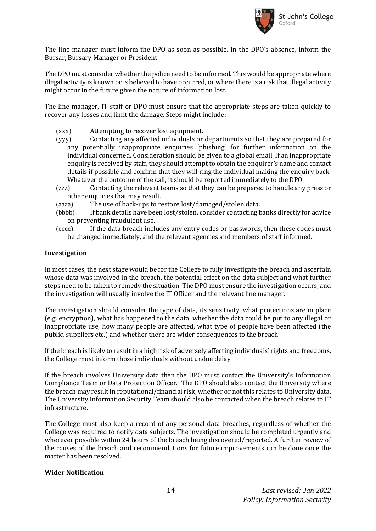

The line manager must inform the DPO as soon as possible. In the DPO's absence, inform the Bursar, Bursary Manager or President.

The DPO must consider whether the police need to be informed. This would be appropriate where illegal activity is known or is believed to have occurred, or where there is a risk that illegal activity might occur in the future given the nature of information lost.

The line manager, IT staff or DPO must ensure that the appropriate steps are taken quickly to recover any losses and limit the damage. Steps might include:

- (xxx) Attempting to recover lost equipment.
- (yyy) Contacting any affected individuals or departments so that they are prepared for any potentially inappropriate enquiries 'phishing' for further information on the individual concerned. Consideration should be given to a global email. If an inappropriate enquiry is received by staff, they should attempt to obtain the enquirer's name and contact details if possible and confirm that they will ring the individual making the enquiry back. Whatever the outcome of the call, it should be reported immediately to the DPO.
- (zzz) Contacting the relevant teams so that they can be prepared to handle any press or other enquiries that may result.
- (aaaa) The use of back-ups to restore lost/damaged/stolen data.
- (bbbb) If bank details have been lost/stolen, consider contacting banks directly for advice on preventing fraudulent use.
- (cccc) If the data breach includes any entry codes or passwords, then these codes must be changed immediately, and the relevant agencies and members of staff informed.

#### **Investigation**

In most cases, the next stage would be for the College to fully investigate the breach and ascertain whose data was involved in the breach, the potential effect on the data subject and what further steps need to be taken to remedy the situation. The DPO must ensure the investigation occurs, and the investigation will usually involve the IT Officer and the relevant line manager.

The investigation should consider the type of data, its sensitivity, what protections are in place (e.g. encryption), what has happened to the data, whether the data could be put to any illegal or inappropriate use, how many people are affected, what type of people have been affected (the public, suppliers etc.) and whether there are wider consequences to the breach.

If the breach is likely to result in a high risk of adversely affecting individuals' rights and freedoms, the College must inform those individuals without undue delay.

If the breach involves University data then the DPO must contact the University's Information Compliance Team or Data Protection Officer. The DPO should also contact the University where the breach may result in reputational/financial risk, whether or not this relates to University data. The University Information Security Team should also be contacted when the breach relates to IT infrastructure.

The College must also keep a record of any personal data breaches, regardless of whether the College was required to notify data subjects. The investigation should be completed urgently and wherever possible within 24 hours of the breach being discovered/reported. A further review of the causes of the breach and recommendations for future improvements can be done once the matter has been resolved.

#### **Wider Notification**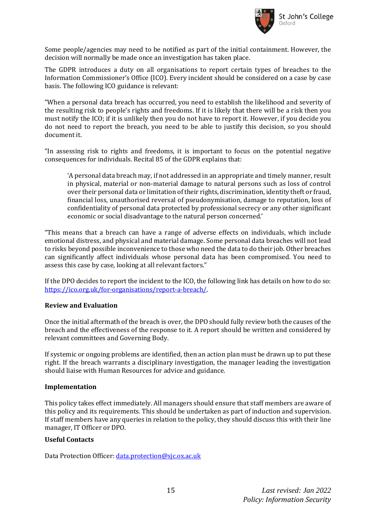

Some people/agencies may need to be notified as part of the initial containment. However, the decision will normally be made once an investigation has taken place.

The GDPR introduces a duty on all organisations to report certain types of breaches to the Information Commissioner's Office (ICO). Every incident should be considered on a case by case basis. The following ICO guidance is relevant:

"When a personal data breach has occurred, you need to establish the likelihood and severity of the resulting risk to people's rights and freedoms. If it is likely that there will be a risk then you must notify the ICO; if it is unlikely then you do not have to report it. However, if you decide you do not need to report the breach, you need to be able to justify this decision, so you should document it.

"In assessing risk to rights and freedoms, it is important to focus on the potential negative consequences for individuals. Recital 85 of the GDPR explains that:

'A personal data breach may, if not addressed in an appropriate and timely manner, result in physical, material or non-material damage to natural persons such as loss of control over their personal data or limitation of their rights, discrimination, identity theft or fraud, financial loss, unauthorised reversal of pseudonymisation, damage to reputation, loss of confidentiality of personal data protected by professional secrecy or any other significant economic or social disadvantage to the natural person concerned.'

"This means that a breach can have a range of adverse effects on individuals, which include emotional distress, and physical and material damage. Some personal data breaches will not lead to risks beyond possible inconvenience to those who need the data to do their job. Other breaches can significantly affect individuals whose personal data has been compromised. You need to assess this case by case, looking at all relevant factors."

If the DPO decides to report the incident to the ICO, the following link has details on how to do so: [https://ico.org.uk/for-organisations/report-a-breach/.](https://ico.org.uk/for-organisations/report-a-breach/) 

#### **Review and Evaluation**

Once the initial aftermath of the breach is over, the DPO should fully review both the causes of the breach and the effectiveness of the response to it. A report should be written and considered by relevant committees and Governing Body.

If systemic or ongoing problems are identified, then an action plan must be drawn up to put these right. If the breach warrants a disciplinary investigation, the manager leading the investigation should liaise with Human Resources for advice and guidance.

#### **Implementation**

This policy takes effect immediately. All managers should ensure that staff members are aware of this policy and its requirements. This should be undertaken as part of induction and supervision. If staff members have any queries in relation to the policy, they should discuss this with their line manager, IT Officer or DPO.

#### **Useful Contacts**

Data Protection Officer: [data.protection@sjc.ox.ac.uk](mailto:data.protection@sjc.ox.ac.uk)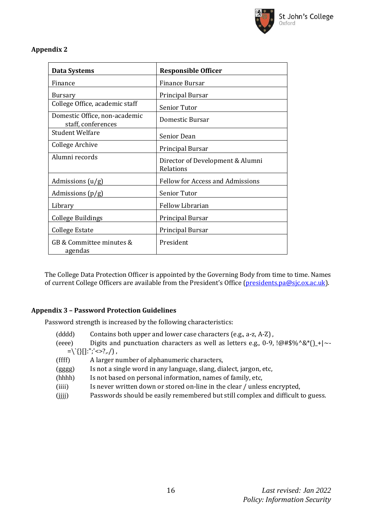

# **Appendix 2**

| <b>Data Systems</b>                                 | <b>Responsible Officer</b>                    |  |
|-----------------------------------------------------|-----------------------------------------------|--|
| Finance                                             | Finance Bursar                                |  |
| Bursary                                             | Principal Bursar                              |  |
| College Office, academic staff                      | Senior Tutor                                  |  |
| Domestic Office, non-academic<br>staff, conferences | Domestic Bursar                               |  |
| <b>Student Welfare</b>                              | Senior Dean                                   |  |
| College Archive                                     | Principal Bursar                              |  |
| Alumni records                                      | Director of Development & Alumni<br>Relations |  |
| Admissions $(u/g)$                                  | <b>Fellow for Access and Admissions</b>       |  |
| Admissions $(p/g)$                                  | Senior Tutor                                  |  |
| Library                                             | <b>Fellow Librarian</b>                       |  |
| <b>College Buildings</b>                            | Principal Bursar                              |  |
| <b>College Estate</b>                               | Principal Bursar                              |  |
| GB & Committee minutes &<br>agendas                 | President                                     |  |

The College Data Protection Officer is appointed by the Governing Body from time to time. Names of current College Officers are available from the President's Office [\(presidents.pa@sjc.ox.ac.uk\)](mailto:presidents.pa@sjc.ox.ac.uk).

# **Appendix 3 – Password Protection Guidelines**

Password strength is increased by the following characteristics:

- (dddd) Contains both upper and lower case characters (e.g., a-z, A-Z) ,
- (eeee) Digits and punctuation characters as well as letters e.g., 0-9,  $\lbrack \omega \# \S \% \wedge \S \* \rbrack$  +|~- $=\left\{ \left\{ \right\} [\left\{ \right\} ]:\left\{ \left\{ \right\} \right\} ,$
- (ffff) A larger number of alphanumeric characters, (gggg) Is not a single word in any language, slang, dialect, jargon, etc, (hhhh) Is not based on personal information, names of family, etc, (iiii) Is never written down or stored on-line in the clear / unless encrypted,
- (jjjj) Passwords should be easily remembered but still complex and difficult to guess.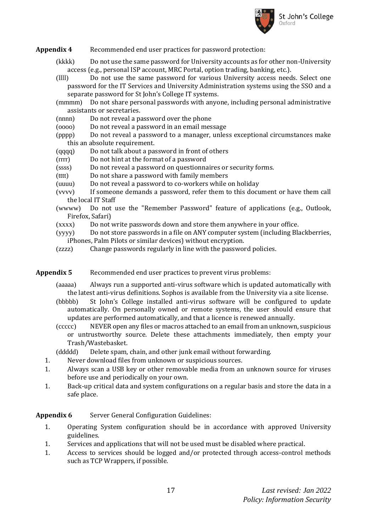

- **Appendix 4** Recommended end user practices for password protection:
	- (kkkk) Do not use the same password for University accounts as for other non-University access (e.g., personal ISP account, MRC Portal, option trading, banking, etc.).
	- (llll) Do not use the same password for various University access needs. Select one password for the IT Services and University Administration systems using the SSO and a separate password for St John's College IT systems.
	- (mmmm) Do not share personal passwords with anyone, including personal administrative assistants or secretaries.
	- (nnnn) Do not reveal a password over the phone
	- (oooo) Do not reveal a password in an email message
	- (pppp) Do not reveal a password to a manager, unless exceptional circumstances make this an absolute requirement.
	- (qqqq) Do not talk about a password in front of others
	- (rrrr) Do not hint at the format of a password
	- (ssss) Do not reveal a password on questionnaires or security forms.
	- (tttt) Do not share a password with family members
	- (uuuu) Do not reveal a password to co-workers while on holiday
	- (vvvv) If someone demands a password, refer them to this document or have them call the local IT Staff
	- (wwww) Do not use the "Remember Password" feature of applications (e.g., Outlook, Firefox, Safari)
	- (xxxx) Do not write passwords down and store them anywhere in your office.
	- (yyyy) Do not store passwords in a file on ANY computer system (including Blackberries, iPhones, Palm Pilots or similar devices) without encryption.
	- (zzzz) Change passwords regularly in line with the password policies.

#### **Appendix 5** Recommended end user practices to prevent virus problems:

- (aaaaa) Always run a supported anti-virus software which is updated automatically with the latest anti-virus definitions. Sophos is available from the University via a site license.
- (bbbbb) St John's College installed anti-virus software will be configured to update automatically. On personally owned or remote systems, the user should ensure that updates are performed automatically, and that a licence is renewed annually.
- (ccccc) NEVER open any files or macros attached to an email from an unknown, suspicious or untrustworthy source. Delete these attachments immediately, then empty your Trash/Wastebasket.

(ddddd) Delete spam, chain, and other junk email without forwarding.

- 1. Never download files from unknown or suspicious sources.
- 1. Always scan a USB key or other removable media from an unknown source for viruses before use and periodically on your own.
- 1. Back-up critical data and system configurations on a regular basis and store the data in a safe place.

# **Appendix 6** Server General Configuration Guidelines:

- 1. Operating System configuration should be in accordance with approved University guidelines.
- 1. Services and applications that will not be used must be disabled where practical.
- 1. Access to services should be logged and/or protected through access-control methods such as TCP Wrappers, if possible.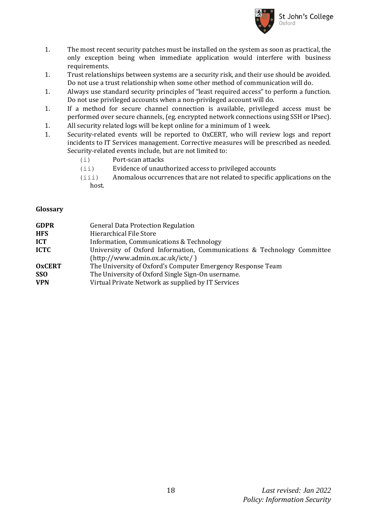

- 1. The most recent security patches must be installed on the system as soon as practical, the only exception being when immediate application would interfere with business requirements.
- 1. Trust relationships between systems are a security risk, and their use should be avoided. Do not use a trust relationship when some other method of communication will do.
- 1. Always use standard security principles of "least required access" to perform a function. Do not use privileged accounts when a non-privileged account will do.
- 1. If a method for secure channel connection is available, privileged access must be performed over secure channels, (eg. encrypted network connections using SSH or IPsec).
- 1. All security related logs will be kept online for a minimum of 1 week.
- 1. Security-related events will be reported to OxCERT, who will review logs and report incidents to IT Services management. Corrective measures will be prescribed as needed. Security-related events include, but are not limited to:
	- (i) Port-scan attacks
	- (ii) Evidence of unauthorized access to privileged accounts
	- (iii) Anomalous occurrences that are not related to specific applications on the host.

#### **Glossary**

| <b>GDPR</b>   | <b>General Data Protection Regulation</b>                               |  |  |
|---------------|-------------------------------------------------------------------------|--|--|
| <b>HFS</b>    | Hierarchical File Store                                                 |  |  |
| <b>ICT</b>    | Information, Communications & Technology                                |  |  |
| <b>ICTC</b>   | University of Oxford Information, Communications & Technology Committee |  |  |
|               | (http://www.admin.ox.ac.uk/ictc/ )                                      |  |  |
| <b>OxCERT</b> | The University of Oxford's Computer Emergency Response Team             |  |  |
| <b>SSO</b>    | The University of Oxford Single Sign-On username.                       |  |  |
| <b>VPN</b>    | Virtual Private Network as supplied by IT Services                      |  |  |
|               |                                                                         |  |  |